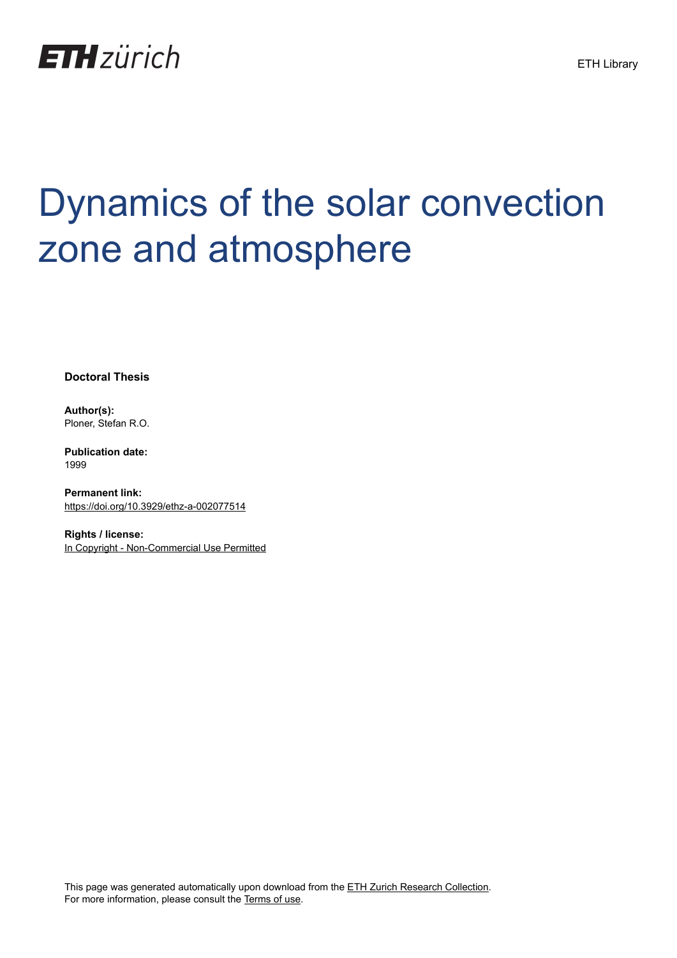

## Dynamics of the solar convection zone and atmosphere

**Doctoral Thesis**

**Author(s):** Ploner, Stefan R.O.

**Publication date:** 1999

**Permanent link:** <https://doi.org/10.3929/ethz-a-002077514>

**Rights / license:** [In Copyright - Non-Commercial Use Permitted](http://rightsstatements.org/page/InC-NC/1.0/)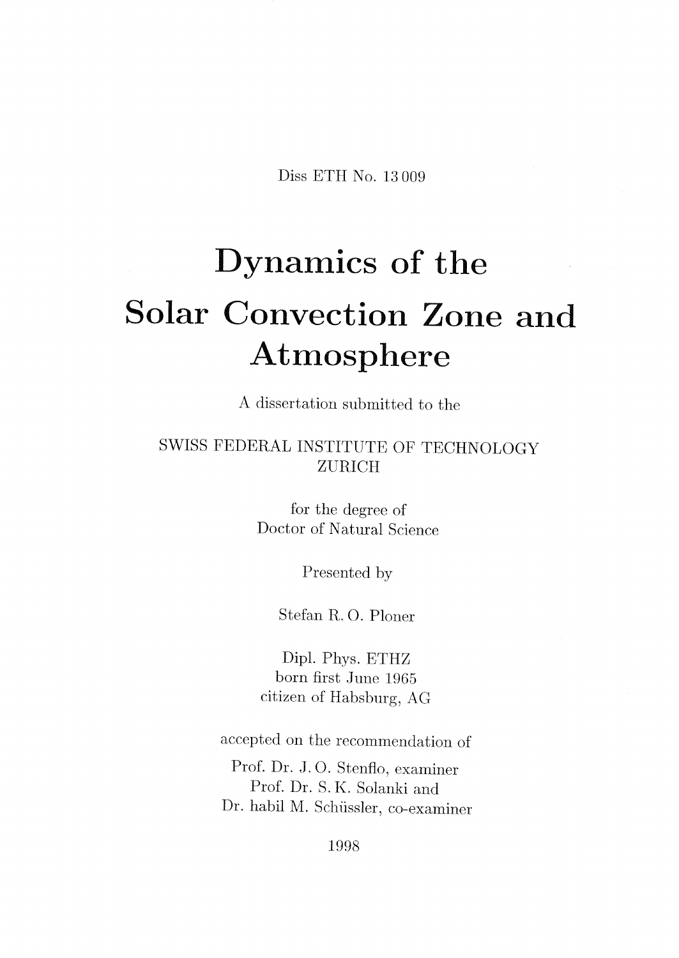Diss ETH No. <sup>13</sup> 009

## Dynamics of the Solar Convection Zone and Atmosphere

A dissertation submitted to the

SWISS FEDERAL INSTITUTE OF TECHNOLOGY ZÜRICH

> for the degree of Doctor of Natural Science

> > Presented by

Stefan R. O. Ploner

Dipl. Phys. ETHZ born first June 1965  $\,$ citizen of Habsburg, AG

accepted on the recommendation of

Prof. Dr. J. O. Stenflo, examiner Prof. Dr. S.K. Solanki and Dr. habil M. Schüssler, co-examiner

1998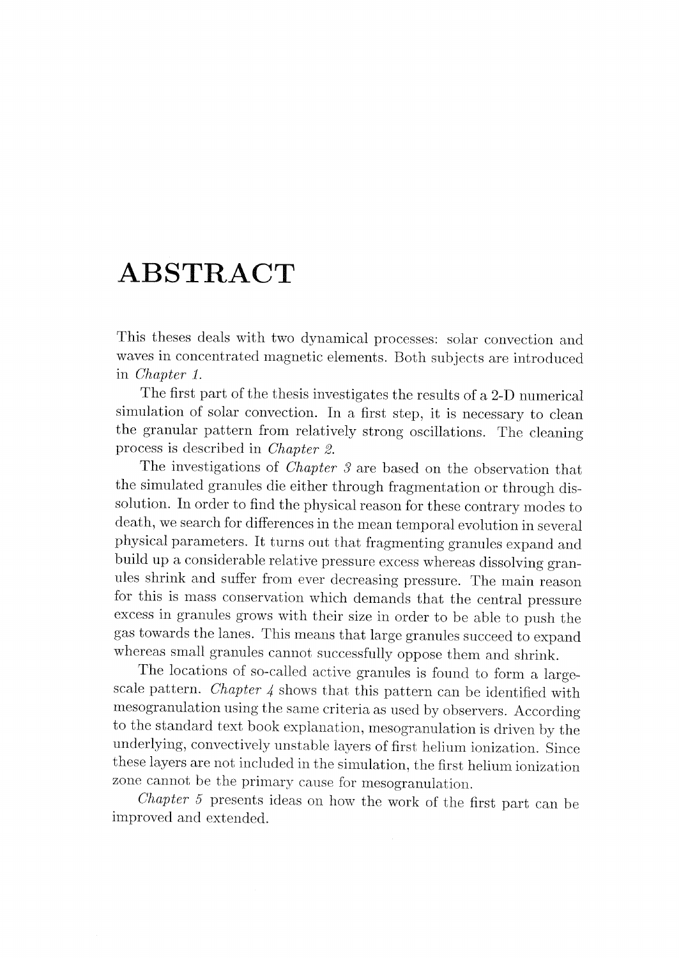## ABSTRACT

This theses deals with two dynamical processes: solar convection and waves in concentrated magnetic elements. Both subjects are introduced in *Chapter 1*.

The first part of the thesis investigates the results of <sup>a</sup> 2-D numerical simulation of solar convection. In a first step, it is necessary to clean the granular pattern from relatively strong oscillations. The cleaning process is described in Chapter 2.

The investigations of *Chapter 3* are based on the observation that the simulated granules die either through fragmentation or through dissolution. In order to find the physical reason for these contrary modes to death, we search for differences in the meantemporal evolution in several physical parameters. It turns out that fragmentinggranules expand and build up a considerable relative pressure excess whereas dissolving granules shrink and suffer from ever decreasing pressure. The main reason excess in granules grows with their size in order to be able to push the gas towards the lanes. This means that large granules succeed to expand whereas small granules cannot successfully oppose them and shrink.

The locations of so-called active granules is found to form <sup>a</sup> large scale pattern. *Chapter*  $\downarrow$  shows that this pattern can be identified with mesogranulation using the same criteria as used by observers. According to the standard text book explanation, mesogranulation is driven by the underlying, convectively unstable layers of first helium ionization. Since these layers are not included in the simulation, the first helium ionization zone cannot be the primary cause for mesogranulation.

Chapter <sup>5</sup> presents ideas on how the work of the first part can be improved and extended.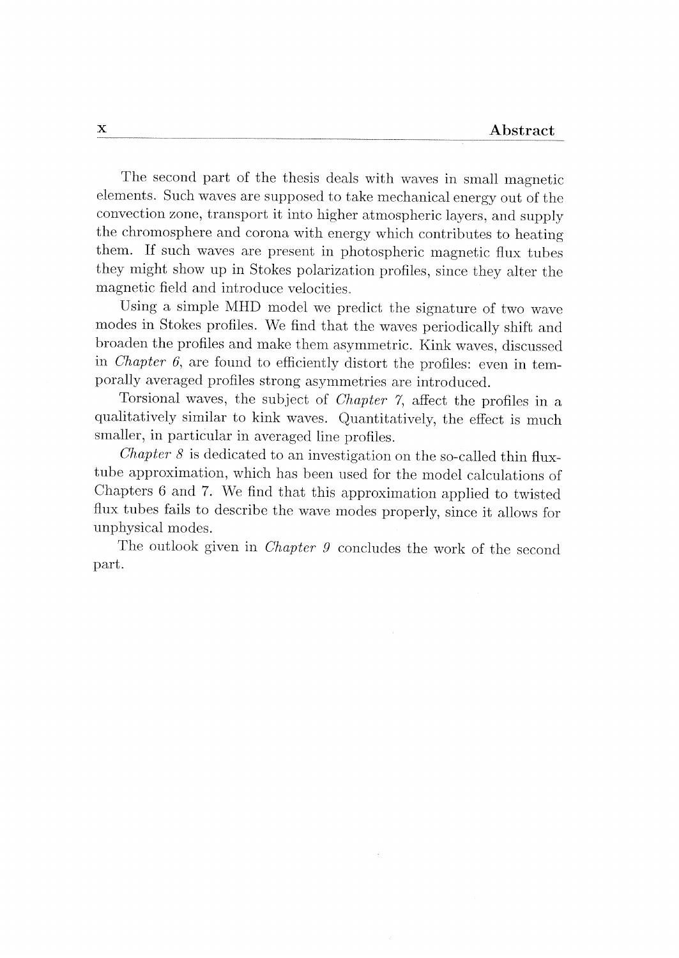The second part of the thesis deals with waves in small magnetic elements. Such waves are supposed to take mechanical energyout of the convection zone, transport it into higher atmosphericlayers, and supply the chromosphere and Corona with energy which contributes to heating them. If such waves are present in photospheric magnetic flux tubes they might show up in Stokes polarization profiles, since they alter the magnetic field and introduce velocities.

Using <sup>a</sup> simple MHD model we predict the signature of two wave modes in Stokes profiles. We find that the waves periodicallyshift and broaden the profiles and make them asymmetric. Kink waves, discussed in *Chapter 6*, are found to efficiently distort the profiles: even in temporally averaged profiles strong asymmetries are introduced.

Torsional waves, the subject of *Chapter 7*, affect the profiles in a qualitatively similar to kink waves. Quantitatively, the effect is much smaller, in particular in averaged line profiles.

*Chapter 8* is dedicated to an investigation on the so-called thin fluxtube approximation, which has been used for the model calculations of Chapters <sup>6</sup> and 7. We find that this approximation applied to twisted flux tubes fails to describe the wave modes properly, since it allows for unphysical modes.

The outlook given in *Chapter 9* concludes the work of the second part.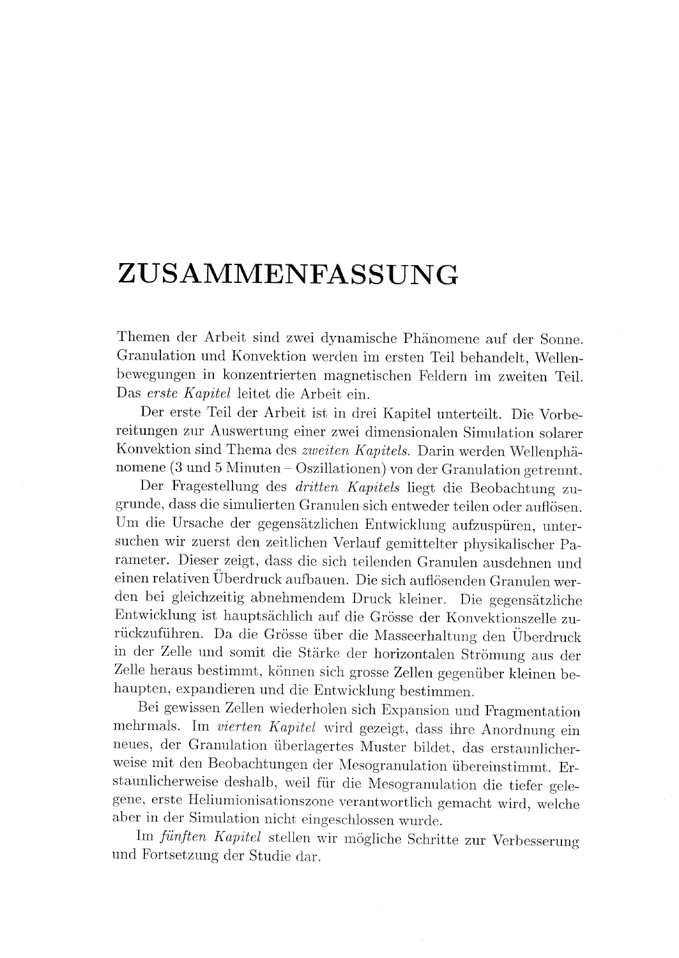## ZUSAMMENFASSUNG

Themen der Arbeit sind zwei dynamische Phänomene auf der Sonne. Granulation und Konvektion werden im ersten Teil behandelt, Wellenbewegungen in konzentrierten magnetischen Feldern im zweiten Teil. Das erste Kapitel leitet die Arbeit ein.

Der erste Teil der Arbeit ist in drei Kapitel unterteilt. Die Vorbereitungen zur Auswertung einer zwei dimensionalen Simulation solarer Konvektion sind Thema des zweiten Kapitels. Darin werden Wellenphä-Konvektion sind Thema des *zweiten Kapitels*. Darin werden Wellenphä-<br>nomene (3 und 5 Minuten – Oszillationen) von der Granulation getrennt.

Der Fragestellung des *dritten Kapitels* liegt die Beobachtung zugrunde, dass die simuliertenGranulen sich entwederteilen oder auflösen. Um die Ursache der gegensätzlichen Entwicklung aufzuspüren, untersuchen wir zuerst den zeitlichen Verlauf gemittelter physikalischer Parameter. Dieser zeigt, dass die sich teilenden Granulen ausdehnen und einen relativen Überdruck aufbauen. Die sich auflösenden Granulen werden bei gleichzeitig abnehmendem Druck kleiner. Die gegensätzliche Entwicklung ist hauptsächlich auf die Grösse der Konvektionszelle zurückzuführen. Da die Grösse über die Masseerhaltung den Überdruck in der Zelle und somit die Stärke der horizontalen Strömung aus der Zelle heraus bestimmt, können sich grosse Zellen gegenüber kleinen be haupten, expandieren und die Entwicklung bestimmen.<br>Bei gewissen Zellen wiederholen sich Expansion und Fragmentation

mehrmals. Im vierten Kapitel wird gezeigt, dass ihre Anordnung ein neues, der Granulation überlagertes Muster bildet, das erstaunlicherweise mit den Beobachtungen der Mesogranulation übereinstimmt. Erstaunlicherweise deshalb, weil für die Mesogranulation die tiefer gelegene, erste Heliumionisationszone verantwortlich gemacht wird, welche aber in der Simulation nicht eingeschlossen wurde.

Im fünften Kapitel stellen wir mögliche Schritte zur Verbesserung und Fortsetzungder Studie dar.